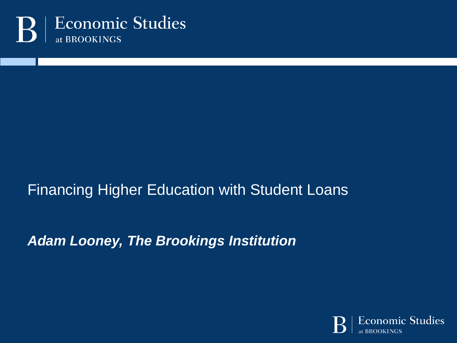

#### Financing Higher Education with Student Loans

*Adam Looney, The Brookings Institution*

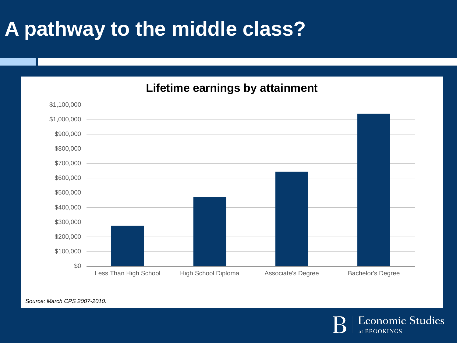## **A pathway to the middle class?**

#### **Lifetime earnings by attainment**



*Source: March CPS 2007-2010.*

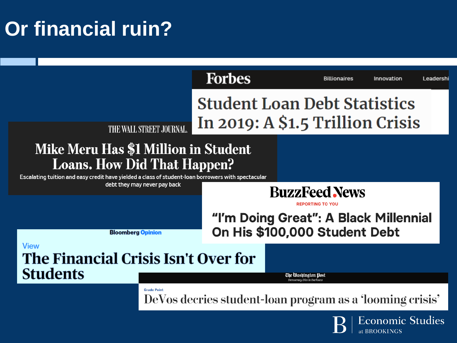# **Or financial ruin?**

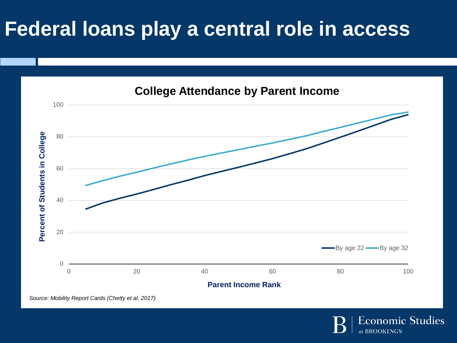## **Federal loans play a central role in access**



*Source: Mobility Report Cards (Chetty et al. 2017)*

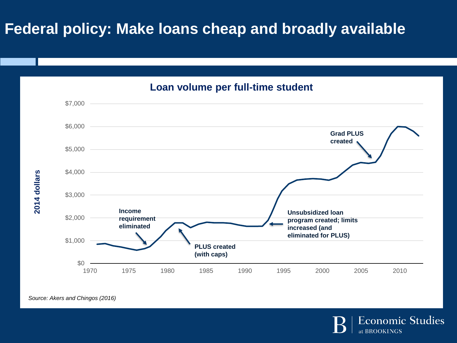#### **Federal policy: Make loans cheap and broadly available**



*Source: Akers and Chingos (2016)*

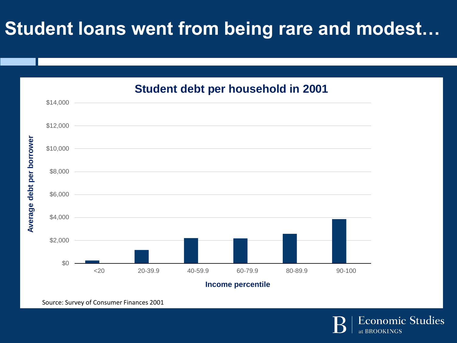#### **Student loans went from being rare and modest…**



Source: Survey of Consumer Finances 2001

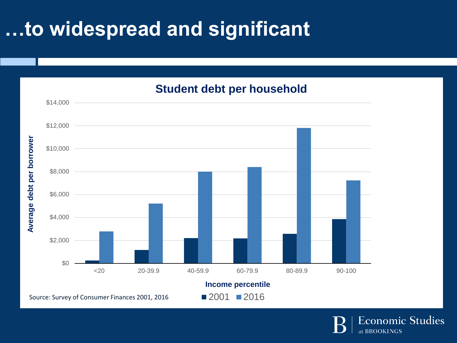# **…to widespread and significant**



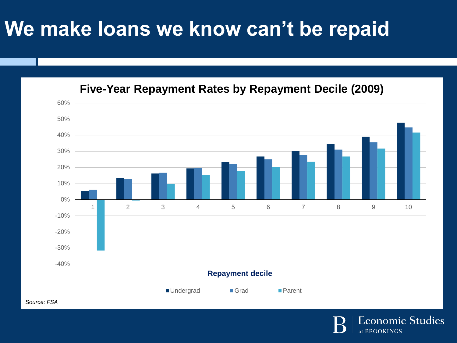### **We make loans we know can't be repaid**





*Source: FSA*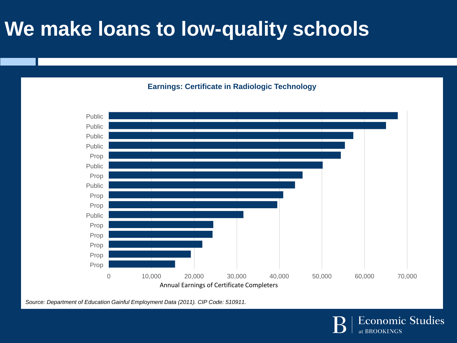# **We make loans to low-quality schools**

#### **Earnings: Certificate in Radiologic Technology**



*Source: Department of Education Gainful Employment Data (2011). CIP Code: 510911.*

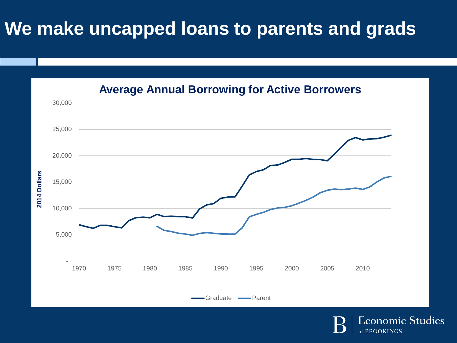#### **We make uncapped loans to parents and grads**



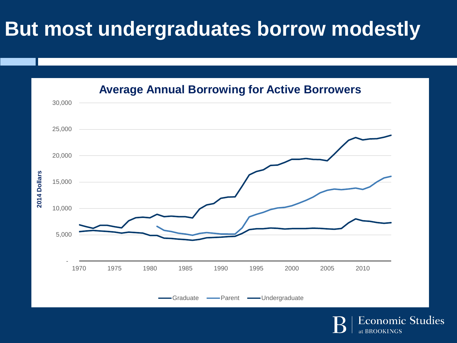## **But most undergraduates borrow modestly**



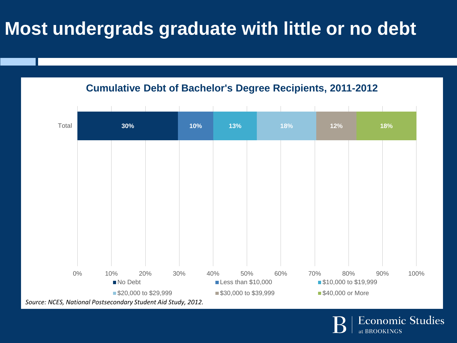#### **Most undergrads graduate with little or no debt**

**Cumulative Debt of Bachelor's Degree Recipients, 2011-2012**



*Source: NCES, National Postsecondary Student Aid Study, 2012.*

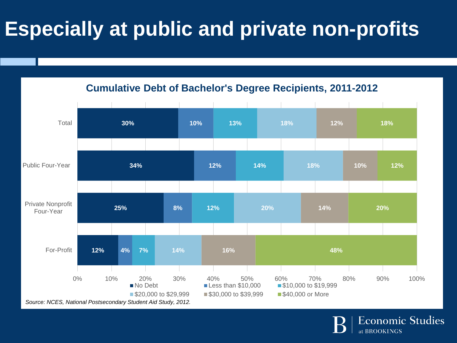# **Especially at public and private non-profits**



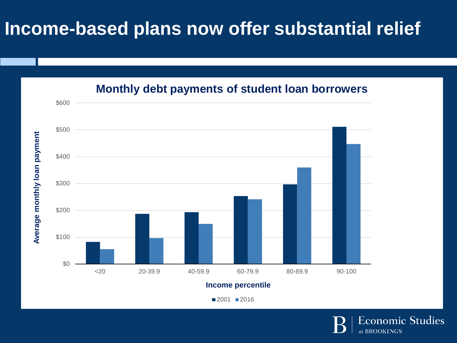#### **Income-based plans now offer substantial relief**



**Monthly debt payments of student loan borrowers**

■2001 ■2016

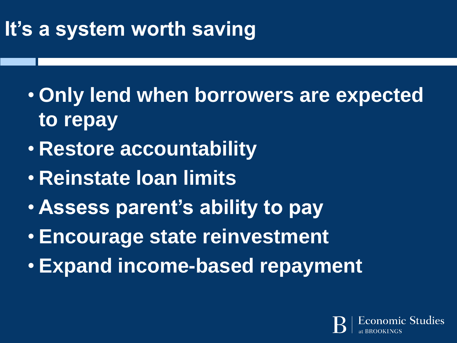# **It's a system worth saving**

- **Only lend when borrowers are expected to repay**
- **Restore accountability**
- **Reinstate loan limits**
- **Assess parent's ability to pay**
- **Encourage state reinvestment**
- **Expand income-based repayment**